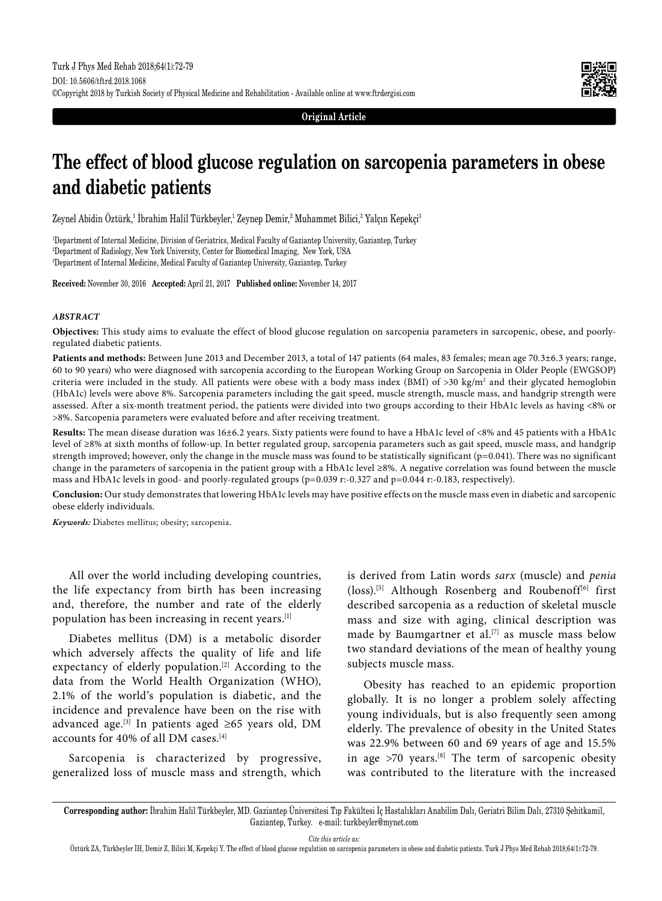

**Original Article**

# **The effect of blood glucose regulation on sarcopenia parameters in obese and diabetic patients**

Zeynel Abidin Oztürk,<sup>ı</sup> Ibrahim Halil Türkbeyler,<sup>ı</sup> Zeynep Demir,<sup>2</sup> Muhammet Bilici,<sup>3</sup> Yalçın Kepekçi<sup>3</sup>

1 Department of Internal Medicine, Division of Geriatrics, Medical Faculty of Gaziantep University, Gaziantep, Turkey 2 Department of Radiology, New York University, Center for Biomedical Imaging, New York, USA 3 Department of Internal Medicine, Medical Faculty of Gaziantep University, Gaziantep, Turkey

**Received:** November 30, 2016 **Accepted:** April 21, 2017 **Published online:** November 14, 2017

#### *ABSTRACT*

**Objectives:** This study aims to evaluate the effect of blood glucose regulation on sarcopenia parameters in sarcopenic, obese, and poorlyregulated diabetic patients.

Patients and methods: Between June 2013 and December 2013, a total of 147 patients (64 males, 83 females; mean age 70.3±6.3 years; range, 60 to 90 years) who were diagnosed with sarcopenia according to the European Working Group on Sarcopenia in Older People (EWGSOP) criteria were included in the study. All patients were obese with a body mass index (BMI) of >30 kg/m² and their glycated hemoglobin (HbA1c) levels were above 8%. Sarcopenia parameters including the gait speed, muscle strength, muscle mass, and handgrip strength were assessed. After a six-month treatment period, the patients were divided into two groups according to their HbA1c levels as having <8% or >8%. Sarcopenia parameters were evaluated before and after receiving treatment.

**Results:** The mean disease duration was 16±6.2 years. Sixty patients were found to have a HbA1c level of <8% and 45 patients with a HbA1c level of ≥8% at sixth months of follow-up. In better regulated group, sarcopenia parameters such as gait speed, muscle mass, and handgrip strength improved; however, only the change in the muscle mass was found to be statistically significant ( $p=0.041$ ). There was no significant change in the parameters of sarcopenia in the patient group with a HbA1c level ≥8%. A negative correlation was found between the muscle mass and HbA1c levels in good- and poorly-regulated groups (p=0.039 r:-0.327 and p=0.044 r:-0.183, respectively).

**Conclusion:** Our study demonstrates that lowering HbA1c levels may have positive effects on the muscle mass even in diabetic and sarcopenic obese elderly individuals.

*Keywords:* Diabetes mellitus; obesity; sarcopenia.

All over the world including developing countries, the life expectancy from birth has been increasing and, therefore, the number and rate of the elderly population has been increasing in recent years.[1]

Diabetes mellitus (DM) is a metabolic disorder which adversely affects the quality of life and life expectancy of elderly population.<sup>[2]</sup> According to the data from the World Health Organization (WHO), 2.1% of the world's population is diabetic, and the incidence and prevalence have been on the rise with advanced age.<sup>[3]</sup> In patients aged ≥65 years old, DM accounts for 40% of all DM cases.[4]

Sarcopenia is characterized by progressive, generalized loss of muscle mass and strength, which is derived from Latin words *sarx* (muscle) and *penia* (loss).[5] Although Rosenberg and Roubenoff[6] first described sarcopenia as a reduction of skeletal muscle mass and size with aging, clinical description was made by Baumgartner et al.<sup>[7]</sup> as muscle mass below two standard deviations of the mean of healthy young subjects muscle mass.

Obesity has reached to an epidemic proportion globally. It is no longer a problem solely affecting young individuals, but is also frequently seen among elderly. The prevalence of obesity in the United States was 22.9% between 60 and 69 years of age and 15.5% in age  $>70$  years.<sup>[8]</sup> The term of sarcopenic obesity was contributed to the literature with the increased

*Cite this article as:*

**Corresponding author:** İbrahim Halil Türkbeyler, MD. Gaziantep Üniversitesi Tıp Fakültesi İç Hastalıkları Anabilim Dalı, Geriatri Bilim Dalı, 27310 Şehitkamil, Gaziantep, Turkey. e-mail: turkbeyler@mynet.com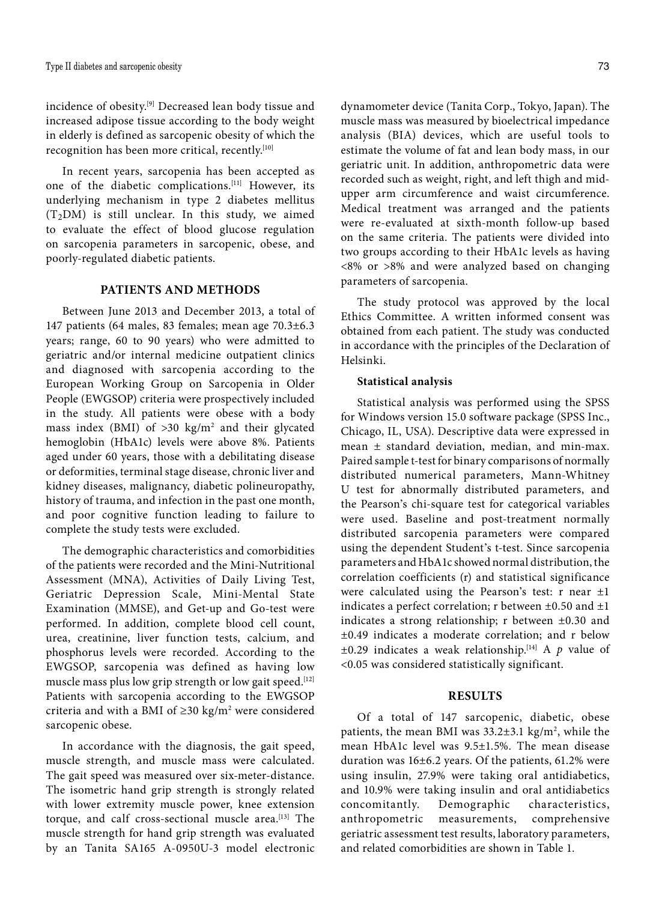incidence of obesity.[9] Decreased lean body tissue and increased adipose tissue according to the body weight in elderly is defined as sarcopenic obesity of which the recognition has been more critical, recently.[10]

In recent years, sarcopenia has been accepted as one of the diabetic complications.[11] However, its underlying mechanism in type 2 diabetes mellitus  $(T<sub>2</sub>DM)$  is still unclear. In this study, we aimed to evaluate the effect of blood glucose regulation on sarcopenia parameters in sarcopenic, obese, and poorly-regulated diabetic patients.

# **PATIENTS AND METHODS**

Between June 2013 and December 2013, a total of 147 patients (64 males, 83 females; mean age 70.3±6.3 years; range, 60 to 90 years) who were admitted to geriatric and/or internal medicine outpatient clinics and diagnosed with sarcopenia according to the European Working Group on Sarcopenia in Older People (EWGSOP) criteria were prospectively included in the study. All patients were obese with a body mass index (BMI) of  $>30$  kg/m<sup>2</sup> and their glycated hemoglobin (HbA1c) levels were above 8%. Patients aged under 60 years, those with a debilitating disease or deformities, terminal stage disease, chronic liver and kidney diseases, malignancy, diabetic polineuropathy, history of trauma, and infection in the past one month, and poor cognitive function leading to failure to complete the study tests were excluded.

The demographic characteristics and comorbidities of the patients were recorded and the Mini-Nutritional Assessment (MNA), Activities of Daily Living Test, Geriatric Depression Scale, Mini-Mental State Examination (MMSE), and Get-up and Go-test were performed. In addition, complete blood cell count, urea, creatinine, liver function tests, calcium, and phosphorus levels were recorded. According to the EWGSOP, sarcopenia was defined as having low muscle mass plus low grip strength or low gait speed.<sup>[12]</sup> Patients with sarcopenia according to the EWGSOP criteria and with a BMI of  $\geq$ 30 kg/m<sup>2</sup> were considered sarcopenic obese.

In accordance with the diagnosis, the gait speed, muscle strength, and muscle mass were calculated. The gait speed was measured over six-meter-distance. The isometric hand grip strength is strongly related with lower extremity muscle power, knee extension torque, and calf cross-sectional muscle area.<sup>[13]</sup> The muscle strength for hand grip strength was evaluated by an Tanita SA165 A-0950U-3 model electronic dynamometer device (Tanita Corp., Tokyo, Japan). The muscle mass was measured by bioelectrical impedance analysis (BIA) devices, which are useful tools to estimate the volume of fat and lean body mass, in our geriatric unit. In addition, anthropometric data were recorded such as weight, right, and left thigh and midupper arm circumference and waist circumference. Medical treatment was arranged and the patients were re-evaluated at sixth-month follow-up based on the same criteria. The patients were divided into two groups according to their HbA1c levels as having <8% or >8% and were analyzed based on changing parameters of sarcopenia.

The study protocol was approved by the local Ethics Committee. A written informed consent was obtained from each patient. The study was conducted in accordance with the principles of the Declaration of Helsinki.

## **Statistical analysis**

Statistical analysis was performed using the SPSS for Windows version 15.0 software package (SPSS Inc., Chicago, IL, USA). Descriptive data were expressed in mean ± standard deviation, median, and min-max. Paired sample t-test for binary comparisons of normally distributed numerical parameters, Mann-Whitney U test for abnormally distributed parameters, and the Pearson's chi-square test for categorical variables were used. Baseline and post-treatment normally distributed sarcopenia parameters were compared using the dependent Student's t-test. Since sarcopenia parameters and HbA1c showed normal distribution, the correlation coefficients (r) and statistical significance were calculated using the Pearson's test: r near ±1 indicates a perfect correlation; r between  $\pm 0.50$  and  $\pm 1$ indicates a strong relationship; r between ±0.30 and ±0.49 indicates a moderate correlation; and r below  $\pm 0.29$  indicates a weak relationship.<sup>[14]</sup> A p value of <0.05 was considered statistically significant.

#### **RESULTS**

Of a total of 147 sarcopenic, diabetic, obese patients, the mean BMI was  $33.2 \pm 3.1$  kg/m<sup>2</sup>, while the mean HbA1c level was 9.5±1.5%. The mean disease duration was 16±6.2 years. Of the patients, 61.2% were using insulin, 27.9% were taking oral antidiabetics, and 10.9% were taking insulin and oral antidiabetics concomitantly. Demographic characteristics, anthropometric measurements, comprehensive geriatric assessment test results, laboratory parameters, and related comorbidities are shown in Table 1.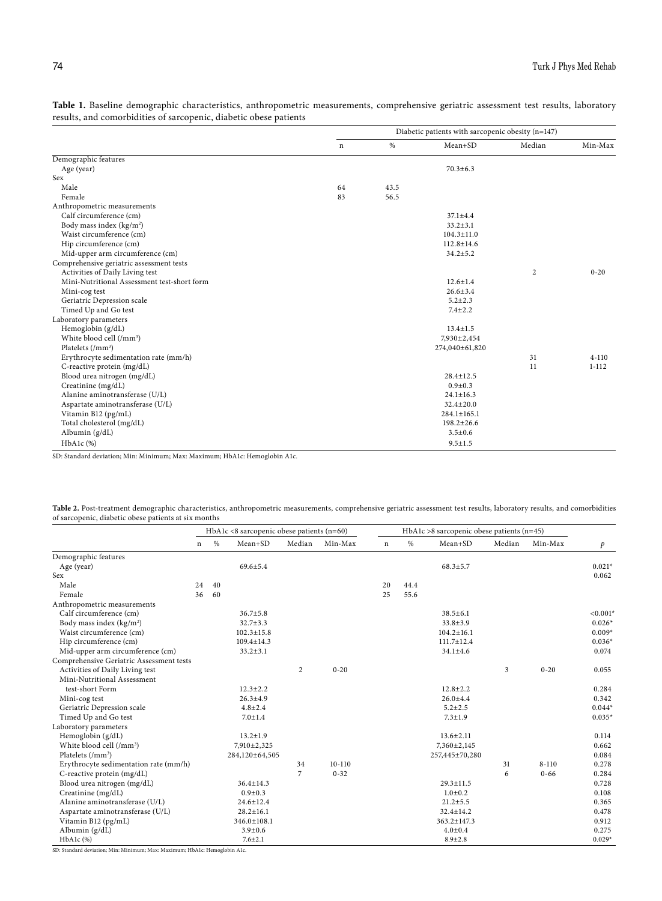|                                             | Diabetic patients with sarcopenic obesity (n=147) |      |                   |                |           |
|---------------------------------------------|---------------------------------------------------|------|-------------------|----------------|-----------|
|                                             | n                                                 | %    | $Mean+SD$         | Median         | Min-Max   |
| Demographic features                        |                                                   |      |                   |                |           |
| Age (year)                                  |                                                   |      | $70.3 \pm 6.3$    |                |           |
| Sex                                         |                                                   |      |                   |                |           |
| Male                                        | 64                                                | 43.5 |                   |                |           |
| Female                                      | 83                                                | 56.5 |                   |                |           |
| Anthropometric measurements                 |                                                   |      |                   |                |           |
| Calf circumference (cm)                     |                                                   |      | $37.1 \pm 4.4$    |                |           |
| Body mass index (kg/m <sup>2</sup> )        |                                                   |      | $33.2 \pm 3.1$    |                |           |
| Waist circumference (cm)                    |                                                   |      | $104.3 \pm 11.0$  |                |           |
| Hip circumference (cm)                      |                                                   |      | $112.8 \pm 14.6$  |                |           |
| Mid-upper arm circumference (cm)            |                                                   |      | $34.2 \pm 5.2$    |                |           |
| Comprehensive geriatric assessment tests    |                                                   |      |                   |                |           |
| Activities of Daily Living test             |                                                   |      |                   | $\overline{c}$ | $0 - 20$  |
| Mini-Nutritional Assessment test-short form |                                                   |      | $12.6 + 1.4$      |                |           |
| Mini-cog test                               |                                                   |      | $26.6 \pm 3.4$    |                |           |
| Geriatric Depression scale                  |                                                   |      | $5.2 \pm 2.3$     |                |           |
| Timed Up and Go test                        |                                                   |      | $7.4 + 2.2$       |                |           |
| Laboratory parameters                       |                                                   |      |                   |                |           |
| Hemoglobin (g/dL)                           |                                                   |      | $13.4 \pm 1.5$    |                |           |
| White blood cell (/mm <sup>3</sup> )        |                                                   |      | 7,930±2,454       |                |           |
| Platelets $( / mm3)$                        |                                                   |      | 274,040±61,820    |                |           |
| Erythrocyte sedimentation rate (mm/h)       |                                                   |      |                   | 31             | $4 - 110$ |
| C-reactive protein (mg/dL)                  |                                                   |      |                   | 11             | $1 - 112$ |
| Blood urea nitrogen (mg/dL)                 |                                                   |      | $28.4 \pm 12.5$   |                |           |
| Creatinine (mg/dL)                          |                                                   |      | $0.9 + 0.3$       |                |           |
| Alanine aminotransferase (U/L)              |                                                   |      | $24.1 \pm 16.3$   |                |           |
| Aspartate aminotransferase (U/L)            |                                                   |      | $32.4 \pm 20.0$   |                |           |
| Vitamin B12 (pg/mL)                         |                                                   |      | $284.1 \pm 165.1$ |                |           |
| Total cholesterol (mg/dL)                   |                                                   |      | $198.2 \pm 26.6$  |                |           |
| Albumin $(g/dL)$                            |                                                   |      | $3.5 \pm 0.6$     |                |           |
| HbA1c (%)                                   |                                                   |      | $9.5 \pm 1.5$     |                |           |

**Table 1.** Baseline demographic characteristics, anthropometric measurements, comprehensive geriatric assessment test results, laboratory results, and comorbidities of sarcopenic, diabetic obese patients

SD: Standard deviation; Min: Minimum; Max: Maximum; HbA1c: Hemoglobin A1c.

|                                                      | Table 2. Post-treatment demographic characteristics, anthropometric measurements, comprehensive geriatric assessment test results, laboratory results, and comorbidities |  |  |
|------------------------------------------------------|--------------------------------------------------------------------------------------------------------------------------------------------------------------------------|--|--|
| of sarcopenic, diabetic obese patients at six months |                                                                                                                                                                          |  |  |

|                                          | HbA1c <8 sarcopenic obese patients (n=60) |    |                   | HbA1c >8 sarcopenic obese patients ( $n=45$ ) |            |             |      |                   |        |           |               |
|------------------------------------------|-------------------------------------------|----|-------------------|-----------------------------------------------|------------|-------------|------|-------------------|--------|-----------|---------------|
|                                          | $\mathbf n$                               | %  | Mean+SD           | Median                                        | Min-Max    | $\mathbf n$ | $\%$ | Mean+SD           | Median | Min-Max   | $\mathcal{P}$ |
| Demographic features                     |                                           |    |                   |                                               |            |             |      |                   |        |           |               |
| Age (year)                               |                                           |    | $69.6 + 5.4$      |                                               |            |             |      | $68.3 \pm 5.7$    |        |           | $0.021*$      |
| Sex                                      |                                           |    |                   |                                               |            |             |      |                   |        |           | 0.062         |
| Male                                     | 24                                        | 40 |                   |                                               |            | 20          | 44.4 |                   |        |           |               |
| Female                                   | 36                                        | 60 |                   |                                               |            | 25          | 55.6 |                   |        |           |               |
| Anthropometric measurements              |                                           |    |                   |                                               |            |             |      |                   |        |           |               |
| Calf circumference (cm)                  |                                           |    | $36.7 \pm 5.8$    |                                               |            |             |      | $38.5 \pm 6.1$    |        |           | $< 0.001*$    |
| Body mass index (kg/m <sup>2</sup> )     |                                           |    | $32.7 \pm 3.3$    |                                               |            |             |      | $33.8 \pm 3.9$    |        |           | $0.026*$      |
| Waist circumference (cm)                 |                                           |    | $102.3 \pm 15.8$  |                                               |            |             |      | $104.2 \pm 16.1$  |        |           | $0.009*$      |
| Hip circumference (cm)                   |                                           |    | $109.4 \pm 14.3$  |                                               |            |             |      | $111.7 \pm 12.4$  |        |           | $0.036*$      |
| Mid-upper arm circumference (cm)         |                                           |    | $33.2 \pm 3.1$    |                                               |            |             |      | $34.1 \pm 4.6$    |        |           | 0.074         |
| Comprehensive Geriatric Assessment tests |                                           |    |                   |                                               |            |             |      |                   |        |           |               |
| Activities of Daily Living test          |                                           |    |                   | 2                                             | $0 - 20$   |             |      |                   | 3      | $0 - 20$  | 0.055         |
| Mini-Nutritional Assessment              |                                           |    |                   |                                               |            |             |      |                   |        |           |               |
| test-short Form                          |                                           |    | $12.3 \pm 2.2$    |                                               |            |             |      | $12.8 \pm 2.2$    |        |           | 0.284         |
| Mini-cog test                            |                                           |    | $26.3 \pm 4.9$    |                                               |            |             |      | $26.0 \pm 4.4$    |        |           | 0.342         |
| Geriatric Depression scale               |                                           |    | $4.8 \pm 2.4$     |                                               |            |             |      | $5.2 \pm 2.5$     |        |           | $0.044*$      |
| Timed Up and Go test                     |                                           |    | $7.0 \pm 1.4$     |                                               |            |             |      | $7.3 \pm 1.9$     |        |           | $0.035*$      |
| Laboratory parameters                    |                                           |    |                   |                                               |            |             |      |                   |        |           |               |
| Hemoglobin (g/dL)                        |                                           |    | $13.2 \pm 1.9$    |                                               |            |             |      | $13.6 \pm 2.11$   |        |           | 0.114         |
| White blood cell (/mm <sup>3</sup> )     |                                           |    | 7,910±2,325       |                                               |            |             |      | $7,360 \pm 2,145$ |        |           | 0.662         |
| Platelets (/mm <sup>3</sup> )            |                                           |    | 284,120±64,505    |                                               |            |             |      | 257,445±70,280    |        |           | 0.084         |
| Erythrocyte sedimentation rate (mm/h)    |                                           |    |                   | 34                                            | $10 - 110$ |             |      |                   | 31     | $8 - 110$ | 0.278         |
| C-reactive protein (mg/dL)               |                                           |    |                   | 7                                             | $0 - 32$   |             |      |                   | 6      | $0 - 66$  | 0.284         |
| Blood urea nitrogen (mg/dL)              |                                           |    | $36.4 \pm 14.3$   |                                               |            |             |      | $29.3 \pm 11.5$   |        |           | 0.728         |
| Creatinine (mg/dL)                       |                                           |    | $0.9 + 0.3$       |                                               |            |             |      | $1.0 + 0.2$       |        |           | 0.108         |
| Alanine aminotransferase (U/L)           |                                           |    | $24.6 \pm 12.4$   |                                               |            |             |      | $21.2 \pm 5.5$    |        |           | 0.365         |
| Aspartate aminotransferase (U/L)         |                                           |    | $28.2 \pm 16.1$   |                                               |            |             |      | $32.4 \pm 14.2$   |        |           | 0.478         |
| Vitamin B12 (pg/mL)                      |                                           |    | $346.0 \pm 108.1$ |                                               |            |             |      | $363.2 \pm 147.3$ |        |           | 0.912         |
| Albumin (g/dL)                           |                                           |    | $3.9 \pm 0.6$     |                                               |            |             |      | $4.0 \pm 0.4$     |        |           | 0.275         |
| HbA1c (%)                                |                                           |    | $7.6 \pm 2.1$     |                                               |            |             |      | $8.9 \pm 2.8$     |        |           | $0.029*$      |

SD: Standard deviation; Min: Minimum; Max: Maximum; HbA1c: Hemoglobin A1c.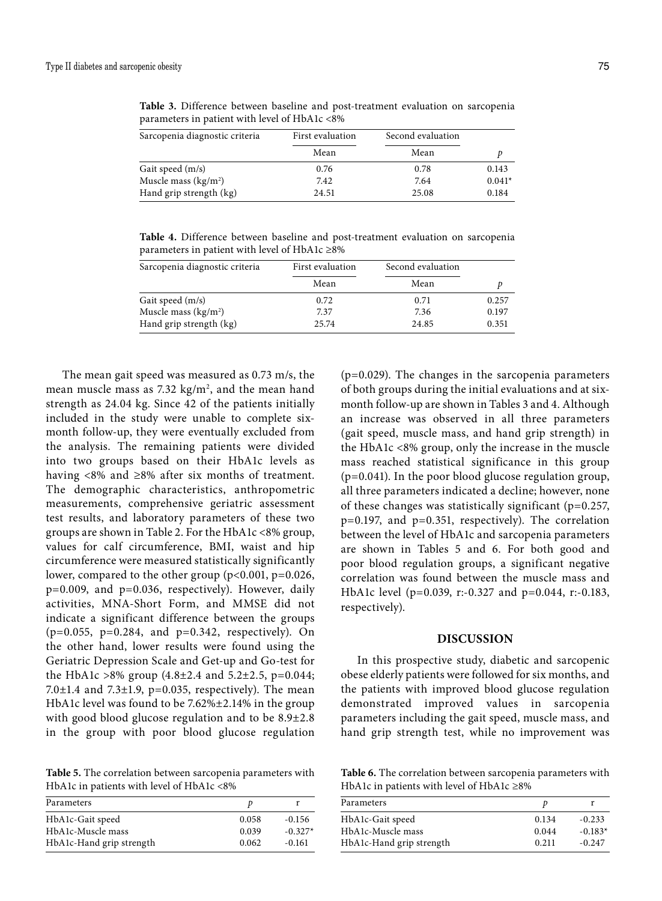| Sarcopenia diagnostic criteria   | First evaluation | Second evaluation |          |
|----------------------------------|------------------|-------------------|----------|
|                                  | Mean             | Mean              |          |
| Gait speed (m/s)                 | 0.76             | 0.78              | 0.143    |
| Muscle mass (kg/m <sup>2</sup> ) | 7.42             | 7.64              | $0.041*$ |
| Hand grip strength (kg)          | 24.51            | 25.08             | 0.184    |

**Table 3.** Difference between baseline and post-treatment evaluation on sarcopenia parameters in patient with level of HbA1c <8%

**Table 4.** Difference between baseline and post-treatment evaluation on sarcopenia parameters in patient with level of HbA1c ≥8%

| Sarcopenia diagnostic criteria | First evaluation | Second evaluation |       |  |
|--------------------------------|------------------|-------------------|-------|--|
|                                | Mean             | Mean              |       |  |
| Gait speed (m/s)               | 0.72             | 0.71              | 0.257 |  |
| Muscle mass $(kg/m2)$          | 7.37             | 7.36              | 0.197 |  |
| Hand grip strength (kg)        | 25.74            | 24.85             | 0.351 |  |

The mean gait speed was measured as 0.73 m/s, the mean muscle mass as 7.32  $\text{kg/m}^2$ , and the mean hand strength as 24.04 kg. Since 42 of the patients initially included in the study were unable to complete sixmonth follow-up, they were eventually excluded from the analysis. The remaining patients were divided into two groups based on their HbA1c levels as having <8% and ≥8% after six months of treatment. The demographic characteristics, anthropometric measurements, comprehensive geriatric assessment test results, and laboratory parameters of these two groups are shown in Table 2. For the HbA1c <8% group, values for calf circumference, BMI, waist and hip circumference were measured statistically significantly lower, compared to the other group (p<0.001, p=0.026, p=0.009, and p=0.036, respectively). However, daily activities, MNA-Short Form, and MMSE did not indicate a significant difference between the groups  $(p=0.055, p=0.284, and p=0.342, respectively).$  On the other hand, lower results were found using the Geriatric Depression Scale and Get-up and Go-test for the HbA1c >8% group  $(4.8\pm2.4 \text{ and } 5.2\pm2.5 \text{, } p=0.044;$ 7.0 $\pm$ 1.4 and 7.3 $\pm$ 1.9, p=0.035, respectively). The mean HbA1c level was found to be 7.62%±2.14% in the group with good blood glucose regulation and to be 8.9±2.8 in the group with poor blood glucose regulation

**Table 5.** The correlation between sarcopenia parameters with HbA1c in patients with level of HbA1c <8%

| Parameters               |       |           |
|--------------------------|-------|-----------|
| HbA1c-Gait speed         | 0.058 | $-0.156$  |
| HbA1c-Muscle mass        | 0.039 | $-0.327*$ |
| HbA1c-Hand grip strength | 0.062 | $-0.161$  |

(p=0.029). The changes in the sarcopenia parameters of both groups during the initial evaluations and at sixmonth follow-up are shown in Tables 3 and 4. Although an increase was observed in all three parameters (gait speed, muscle mass, and hand grip strength) in the HbA1c <8% group, only the increase in the muscle mass reached statistical significance in this group (p=0.041). In the poor blood glucose regulation group, all three parameters indicated a decline; however, none of these changes was statistically significant ( $p=0.257$ , p=0.197, and p=0.351, respectively). The correlation between the level of HbA1c and sarcopenia parameters are shown in Tables 5 and 6. For both good and poor blood regulation groups, a significant negative correlation was found between the muscle mass and HbA1c level (p=0.039, r:-0.327 and p=0.044, r:-0.183, respectively).

#### **DISCUSSION**

In this prospective study, diabetic and sarcopenic obese elderly patients were followed for six months, and the patients with improved blood glucose regulation demonstrated improved values in sarcopenia parameters including the gait speed, muscle mass, and hand grip strength test, while no improvement was

**Table 6.** The correlation between sarcopenia parameters with HbA1c in patients with level of HbA1c ≥8%

| Parameters               |       |           |
|--------------------------|-------|-----------|
| HbA1c-Gait speed         | 0.134 | $-0.233$  |
| HbA1c-Muscle mass        | 0.044 | $-0.183*$ |
| HbA1c-Hand grip strength | 0.211 | $-0.247$  |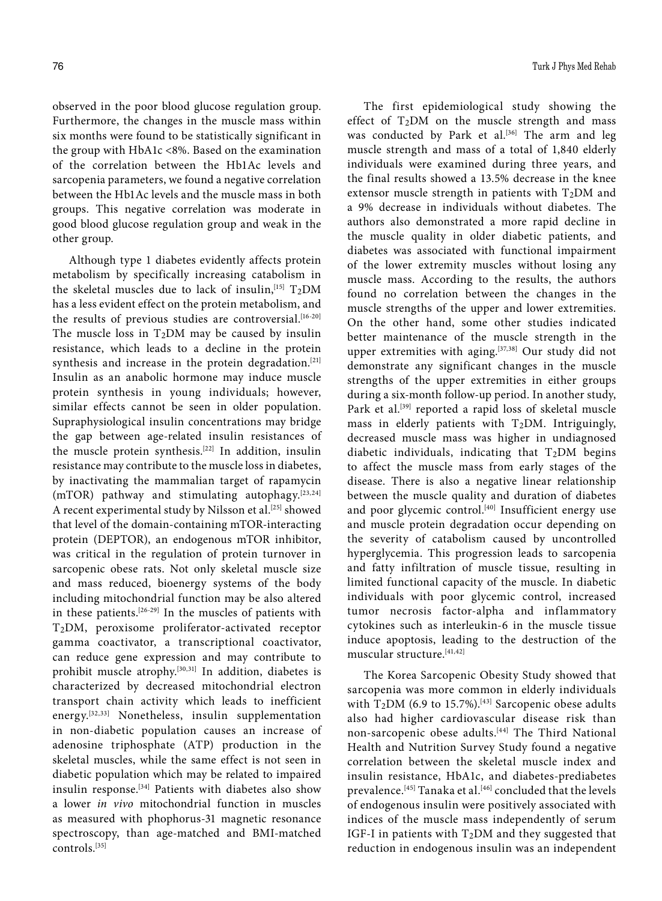observed in the poor blood glucose regulation group. Furthermore, the changes in the muscle mass within six months were found to be statistically significant in the group with HbA1c <8%. Based on the examination of the correlation between the Hb1Ac levels and sarcopenia parameters, we found a negative correlation between the Hb1Ac levels and the muscle mass in both groups. This negative correlation was moderate in good blood glucose regulation group and weak in the other group.

Although type 1 diabetes evidently affects protein metabolism by specifically increasing catabolism in the skeletal muscles due to lack of insulin,  $[15]$  T<sub>2</sub>DM has a less evident effect on the protein metabolism, and the results of previous studies are controversial.<sup>[16-20]</sup> The muscle loss in  $T_2DM$  may be caused by insulin resistance, which leads to a decline in the protein synthesis and increase in the protein degradation.<sup>[21]</sup> Insulin as an anabolic hormone may induce muscle protein synthesis in young individuals; however, similar effects cannot be seen in older population. Supraphysiological insulin concentrations may bridge the gap between age-related insulin resistances of the muscle protein synthesis.[22] In addition, insulin resistance may contribute to the muscle loss in diabetes, by inactivating the mammalian target of rapamycin (mTOR) pathway and stimulating autophagy.[23,24] A recent experimental study by Nilsson et al.<sup>[25]</sup> showed that level of the domain-containing mTOR-interacting protein (DEPTOR), an endogenous mTOR inhibitor, was critical in the regulation of protein turnover in sarcopenic obese rats. Not only skeletal muscle size and mass reduced, bioenergy systems of the body including mitochondrial function may be also altered in these patients.[26-29] In the muscles of patients with T2DM, peroxisome proliferator-activated receptor gamma coactivator, a transcriptional coactivator, can reduce gene expression and may contribute to prohibit muscle atrophy.<sup>[30,31]</sup> In addition, diabetes is characterized by decreased mitochondrial electron transport chain activity which leads to inefficient energy.[32,33] Nonetheless, insulin supplementation in non-diabetic population causes an increase of adenosine triphosphate (ATP) production in the skeletal muscles, while the same effect is not seen in diabetic population which may be related to impaired insulin response.[34] Patients with diabetes also show a lower *in vivo* mitochondrial function in muscles as measured with phophorus-31 magnetic resonance spectroscopy, than age-matched and BMI-matched controls.[35]

The first epidemiological study showing the effect of  $T_2DM$  on the muscle strength and mass was conducted by Park et al.<sup>[36]</sup> The arm and leg muscle strength and mass of a total of 1,840 elderly individuals were examined during three years, and the final results showed a 13.5% decrease in the knee extensor muscle strength in patients with  $T_2DM$  and a 9% decrease in individuals without diabetes. The authors also demonstrated a more rapid decline in the muscle quality in older diabetic patients, and diabetes was associated with functional impairment of the lower extremity muscles without losing any muscle mass. According to the results, the authors found no correlation between the changes in the muscle strengths of the upper and lower extremities. On the other hand, some other studies indicated better maintenance of the muscle strength in the upper extremities with aging.<sup>[37,38]</sup> Our study did not demonstrate any significant changes in the muscle strengths of the upper extremities in either groups during a six-month follow-up period. In another study, Park et al.<sup>[39]</sup> reported a rapid loss of skeletal muscle mass in elderly patients with  $T_2DM$ . Intriguingly, decreased muscle mass was higher in undiagnosed diabetic individuals, indicating that  $T_2DM$  begins to affect the muscle mass from early stages of the disease. There is also a negative linear relationship between the muscle quality and duration of diabetes and poor glycemic control.<sup>[40]</sup> Insufficient energy use and muscle protein degradation occur depending on the severity of catabolism caused by uncontrolled hyperglycemia. This progression leads to sarcopenia and fatty infiltration of muscle tissue, resulting in limited functional capacity of the muscle. In diabetic individuals with poor glycemic control, increased tumor necrosis factor-alpha and inflammatory cytokines such as interleukin-6 in the muscle tissue induce apoptosis, leading to the destruction of the muscular structure.[41,42]

The Korea Sarcopenic Obesity Study showed that sarcopenia was more common in elderly individuals with  $T_2DM$  (6.9 to 15.7%).<sup>[43]</sup> Sarcopenic obese adults also had higher cardiovascular disease risk than non-sarcopenic obese adults.<sup>[44]</sup> The Third National Health and Nutrition Survey Study found a negative correlation between the skeletal muscle index and insulin resistance, HbA1c, and diabetes-prediabetes prevalence.<sup>[45]</sup> Tanaka et al.<sup>[46]</sup> concluded that the levels of endogenous insulin were positively associated with indices of the muscle mass independently of serum IGF-I in patients with  $T_2DM$  and they suggested that reduction in endogenous insulin was an independent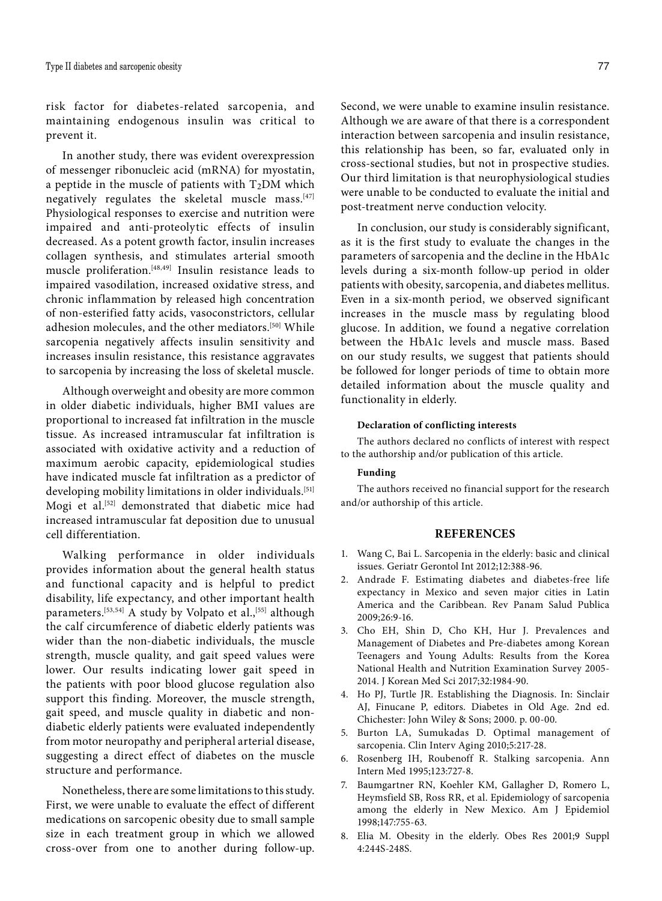risk factor for diabetes-related sarcopenia, and maintaining endogenous insulin was critical to prevent it.

In another study, there was evident overexpression of messenger ribonucleic acid (mRNA) for myostatin, a peptide in the muscle of patients with  $T_2DM$  which negatively regulates the skeletal muscle mass.<sup>[47]</sup> Physiological responses to exercise and nutrition were impaired and anti-proteolytic effects of insulin decreased. As a potent growth factor, insulin increases collagen synthesis, and stimulates arterial smooth muscle proliferation.[48,49] Insulin resistance leads to impaired vasodilation, increased oxidative stress, and chronic inflammation by released high concentration of non-esterified fatty acids, vasoconstrictors, cellular adhesion molecules, and the other mediators.[50] While sarcopenia negatively affects insulin sensitivity and increases insulin resistance, this resistance aggravates to sarcopenia by increasing the loss of skeletal muscle.

Although overweight and obesity are more common in older diabetic individuals, higher BMI values are proportional to increased fat infiltration in the muscle tissue. As increased intramuscular fat infiltration is associated with oxidative activity and a reduction of maximum aerobic capacity, epidemiological studies have indicated muscle fat infiltration as a predictor of developing mobility limitations in older individuals.<sup>[51]</sup> Mogi et al.[52] demonstrated that diabetic mice had increased intramuscular fat deposition due to unusual cell differentiation.

Walking performance in older individuals provides information about the general health status and functional capacity and is helpful to predict disability, life expectancy, and other important health parameters.<sup>[53,54]</sup> A study by Volpato et al.,<sup>[55]</sup> although the calf circumference of diabetic elderly patients was wider than the non-diabetic individuals, the muscle strength, muscle quality, and gait speed values were lower. Our results indicating lower gait speed in the patients with poor blood glucose regulation also support this finding. Moreover, the muscle strength, gait speed, and muscle quality in diabetic and nondiabetic elderly patients were evaluated independently from motor neuropathy and peripheral arterial disease, suggesting a direct effect of diabetes on the muscle structure and performance.

Nonetheless, there are some limitations to this study. First, we were unable to evaluate the effect of different medications on sarcopenic obesity due to small sample size in each treatment group in which we allowed cross-over from one to another during follow-up.

Second, we were unable to examine insulin resistance. Although we are aware of that there is a correspondent interaction between sarcopenia and insulin resistance, this relationship has been, so far, evaluated only in cross-sectional studies, but not in prospective studies. Our third limitation is that neurophysiological studies were unable to be conducted to evaluate the initial and post-treatment nerve conduction velocity.

In conclusion, our study is considerably significant, as it is the first study to evaluate the changes in the parameters of sarcopenia and the decline in the HbA1c levels during a six-month follow-up period in older patients with obesity, sarcopenia, and diabetes mellitus. Even in a six-month period, we observed significant increases in the muscle mass by regulating blood glucose. In addition, we found a negative correlation between the HbA1c levels and muscle mass. Based on our study results, we suggest that patients should be followed for longer periods of time to obtain more detailed information about the muscle quality and functionality in elderly.

#### **Declaration of conflicting interests**

The authors declared no conflicts of interest with respect to the authorship and/or publication of this article.

## **Funding**

The authors received no financial support for the research and/or authorship of this article.

## **REFERENCES**

- 1. Wang C, Bai L. Sarcopenia in the elderly: basic and clinical issues. Geriatr Gerontol Int 2012;12:388-96.
- 2. Andrade F. Estimating diabetes and diabetes-free life expectancy in Mexico and seven major cities in Latin America and the Caribbean. Rev Panam Salud Publica 2009;26:9-16.
- 3. Cho EH, Shin D, Cho KH, Hur J. Prevalences and Management of Diabetes and Pre-diabetes among Korean Teenagers and Young Adults: Results from the Korea National Health and Nutrition Examination Survey 2005- 2014. J Korean Med Sci 2017;32:1984-90.
- 4. Ho PJ, Turtle JR. Establishing the Diagnosis. In: Sinclair AJ, Finucane P, editors. Diabetes in Old Age. 2nd ed. Chichester: John Wiley & Sons; 2000. p. 00-00.
- 5. Burton LA, Sumukadas D. Optimal management of sarcopenia. Clin Interv Aging 2010;5:217-28.
- 6. Rosenberg IH, Roubenoff R. Stalking sarcopenia. Ann Intern Med 1995;123:727-8.
- 7. Baumgartner RN, Koehler KM, Gallagher D, Romero L, Heymsfield SB, Ross RR, et al. Epidemiology of sarcopenia among the elderly in New Mexico. Am J Epidemiol 1998;147:755-63.
- 8. Elia M. Obesity in the elderly. Obes Res 2001;9 Suppl 4:244S-248S.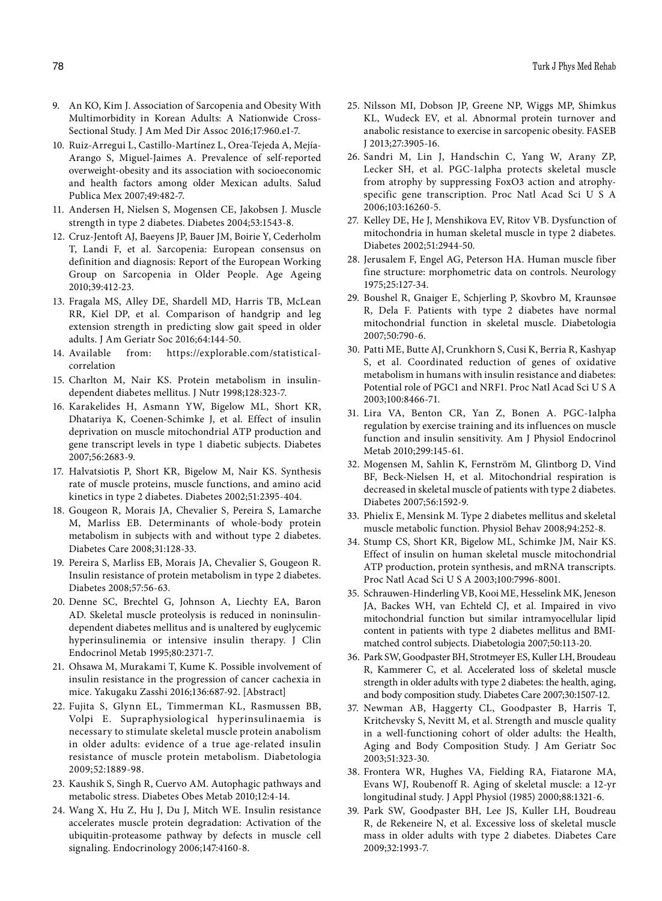- 9. An KO, Kim J. Association of Sarcopenia and Obesity With Multimorbidity in Korean Adults: A Nationwide Cross-Sectional Study. J Am Med Dir Assoc 2016;17:960.e1-7.
- 10. Ruiz-Arregui L, Castillo-Martínez L, Orea-Tejeda A, Mejía-Arango S, Miguel-Jaimes A. Prevalence of self-reported overweight-obesity and its association with socioeconomic and health factors among older Mexican adults. Salud Publica Mex 2007;49:482-7.
- 11. Andersen H, Nielsen S, Mogensen CE, Jakobsen J. Muscle strength in type 2 diabetes. Diabetes 2004;53:1543-8.
- 12. Cruz-Jentoft AJ, Baeyens JP, Bauer JM, Boirie Y, Cederholm T, Landi F, et al. Sarcopenia: European consensus on definition and diagnosis: Report of the European Working Group on Sarcopenia in Older People. Age Ageing 2010;39:412-23.
- 13. Fragala MS, Alley DE, Shardell MD, Harris TB, McLean RR, Kiel DP, et al. Comparison of handgrip and leg extension strength in predicting slow gait speed in older adults. J Am Geriatr Soc 2016;64:144-50.
- 14. Available from: https://explorable.com/statisticalcorrelation
- 15. Charlton M, Nair KS. Protein metabolism in insulindependent diabetes mellitus. J Nutr 1998;128:323-7.
- 16. Karakelides H, Asmann YW, Bigelow ML, Short KR, Dhatariya K, Coenen-Schimke J, et al. Effect of insulin deprivation on muscle mitochondrial ATP production and gene transcript levels in type 1 diabetic subjects. Diabetes 2007;56:2683-9.
- 17. Halvatsiotis P, Short KR, Bigelow M, Nair KS. Synthesis rate of muscle proteins, muscle functions, and amino acid kinetics in type 2 diabetes. Diabetes 2002;51:2395-404.
- 18. Gougeon R, Morais JA, Chevalier S, Pereira S, Lamarche M, Marliss EB. Determinants of whole-body protein metabolism in subjects with and without type 2 diabetes. Diabetes Care 2008;31:128-33.
- 19. Pereira S, Marliss EB, Morais JA, Chevalier S, Gougeon R. Insulin resistance of protein metabolism in type 2 diabetes. Diabetes 2008;57:56-63.
- 20. Denne SC, Brechtel G, Johnson A, Liechty EA, Baron AD. Skeletal muscle proteolysis is reduced in noninsulindependent diabetes mellitus and is unaltered by euglycemic hyperinsulinemia or intensive insulin therapy. J Clin Endocrinol Metab 1995;80:2371-7.
- 21. Ohsawa M, Murakami T, Kume K. Possible involvement of insulin resistance in the progression of cancer cachexia in mice. Yakugaku Zasshi 2016;136:687-92. [Abstract]
- 22. Fujita S, Glynn EL, Timmerman KL, Rasmussen BB, Volpi E. Supraphysiological hyperinsulinaemia is necessary to stimulate skeletal muscle protein anabolism in older adults: evidence of a true age-related insulin resistance of muscle protein metabolism. Diabetologia 2009;52:1889-98.
- 23. Kaushik S, Singh R, Cuervo AM. Autophagic pathways and metabolic stress. Diabetes Obes Metab 2010;12:4-14.
- 24. Wang X, Hu Z, Hu J, Du J, Mitch WE. Insulin resistance accelerates muscle protein degradation: Activation of the ubiquitin-proteasome pathway by defects in muscle cell signaling. Endocrinology 2006;147:4160-8.
- 25. Nilsson MI, Dobson JP, Greene NP, Wiggs MP, Shimkus KL, Wudeck EV, et al. Abnormal protein turnover and anabolic resistance to exercise in sarcopenic obesity. FASEB J 2013;27:3905-16.
- 26. Sandri M, Lin J, Handschin C, Yang W, Arany ZP, Lecker SH, et al. PGC-1alpha protects skeletal muscle from atrophy by suppressing FoxO3 action and atrophyspecific gene transcription. Proc Natl Acad Sci U S A 2006;103:16260-5.
- 27. Kelley DE, He J, Menshikova EV, Ritov VB. Dysfunction of mitochondria in human skeletal muscle in type 2 diabetes. Diabetes 2002;51:2944-50.
- 28. Jerusalem F, Engel AG, Peterson HA. Human muscle fiber fine structure: morphometric data on controls. Neurology 1975;25:127-34.
- 29. Boushel R, Gnaiger E, Schjerling P, Skovbro M, Kraunsøe R, Dela F. Patients with type 2 diabetes have normal mitochondrial function in skeletal muscle. Diabetologia 2007;50:790-6.
- 30. Patti ME, Butte AJ, Crunkhorn S, Cusi K, Berria R, Kashyap S, et al. Coordinated reduction of genes of oxidative metabolism in humans with insulin resistance and diabetes: Potential role of PGC1 and NRF1. Proc Natl Acad Sci U S A 2003;100:8466-71.
- 31. Lira VA, Benton CR, Yan Z, Bonen A. PGC-1alpha regulation by exercise training and its influences on muscle function and insulin sensitivity. Am J Physiol Endocrinol Metab 2010;299:145-61.
- 32. Mogensen M, Sahlin K, Fernström M, Glintborg D, Vind BF, Beck-Nielsen H, et al. Mitochondrial respiration is decreased in skeletal muscle of patients with type 2 diabetes. Diabetes 2007;56:1592-9.
- 33. Phielix E, Mensink M. Type 2 diabetes mellitus and skeletal muscle metabolic function. Physiol Behav 2008;94:252-8.
- 34. Stump CS, Short KR, Bigelow ML, Schimke JM, Nair KS. Effect of insulin on human skeletal muscle mitochondrial ATP production, protein synthesis, and mRNA transcripts. Proc Natl Acad Sci U S A 2003;100:7996-8001.
- 35. Schrauwen-Hinderling VB, Kooi ME, Hesselink MK, Jeneson JA, Backes WH, van Echteld CJ, et al. Impaired in vivo mitochondrial function but similar intramyocellular lipid content in patients with type 2 diabetes mellitus and BMImatched control subjects. Diabetologia 2007;50:113-20.
- 36. Park SW, Goodpaster BH, Strotmeyer ES, Kuller LH, Broudeau R, Kammerer C, et al. Accelerated loss of skeletal muscle strength in older adults with type 2 diabetes: the health, aging, and body composition study. Diabetes Care 2007;30:1507-12.
- 37. Newman AB, Haggerty CL, Goodpaster B, Harris T, Kritchevsky S, Nevitt M, et al. Strength and muscle quality in a well-functioning cohort of older adults: the Health, Aging and Body Composition Study. J Am Geriatr Soc 2003;51:323-30.
- 38. Frontera WR, Hughes VA, Fielding RA, Fiatarone MA, Evans WJ, Roubenoff R. Aging of skeletal muscle: a 12-yr longitudinal study. J Appl Physiol (1985) 2000;88:1321-6.
- 39. Park SW, Goodpaster BH, Lee JS, Kuller LH, Boudreau R, de Rekeneire N, et al. Excessive loss of skeletal muscle mass in older adults with type 2 diabetes. Diabetes Care 2009;32:1993-7.